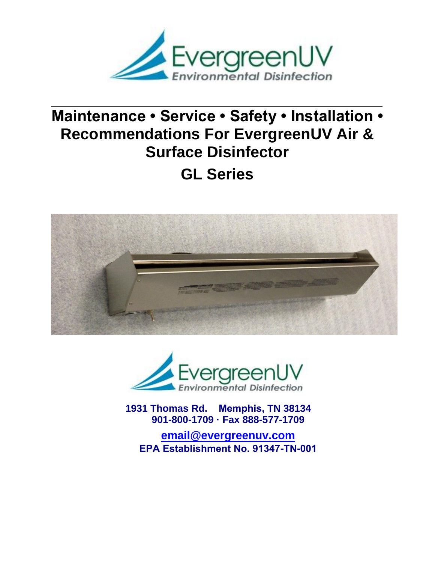

# **Maintenance • Service • Safety • Installation • Recommendations For EvergreenUV Air & Surface Disinfector**

**GL Series** 





**1931 Thomas Rd. Memphis, TN 38134 901-800-1709 · Fax 888-577-1709**

**email@evergreenuv.com EPA Establishment No. 91347-TN-001**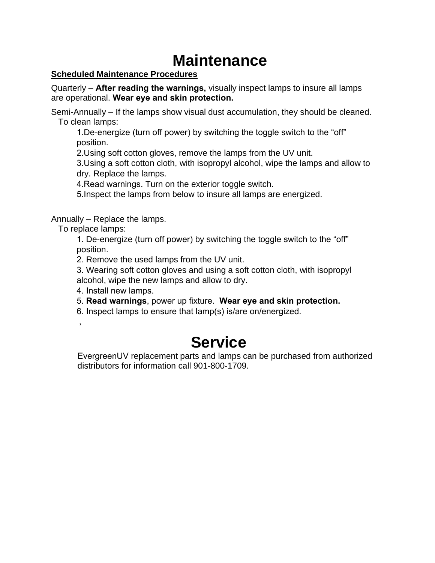# **Maintenance**

## **Scheduled Maintenance Procedures**

Quarterly – **After reading the warnings,** visually inspect lamps to insure all lamps are operational. **Wear eye and skin protection.**

Semi-Annually – If the lamps show visual dust accumulation, they should be cleaned. To clean lamps:

1.De-energize (turn off power) by switching the toggle switch to the "off" position.

2.Using soft cotton gloves, remove the lamps from the UV unit.

3.Using a soft cotton cloth, with isopropyl alcohol, wipe the lamps and allow to dry. Replace the lamps.

4.Read warnings. Turn on the exterior toggle switch.

5.Inspect the lamps from below to insure all lamps are energized.

Annually – Replace the lamps.

To replace lamps:

,

1. De-energize (turn off power) by switching the toggle switch to the "off" position.

2. Remove the used lamps from the UV unit.

3. Wearing soft cotton gloves and using a soft cotton cloth, with isopropyl alcohol, wipe the new lamps and allow to dry.

4. Install new lamps.

5. **Read warnings**, power up fixture. **Wear eye and skin protection.**

6. Inspect lamps to ensure that lamp(s) is/are on/energized.

# **Service**

EvergreenUV replacement parts and lamps can be purchased from authorized distributors for information call 901-800-1709.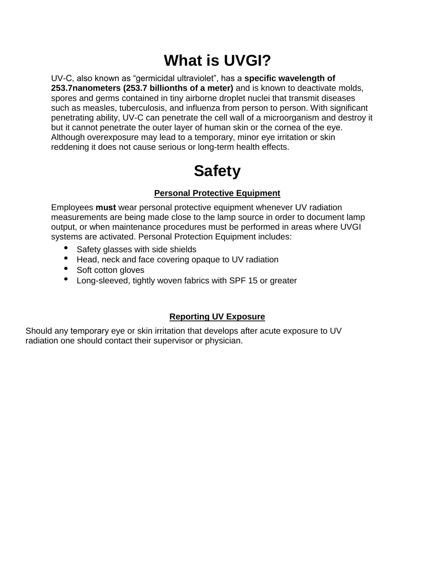# **What is UVGI?**

UV-C, also known as "germicidal ultraviolet", has a **specific wavelength of 253.7nanometers (253.7 billionths of a meter)** and is known to deactivate molds, spores and germs contained in tiny airborne droplet nuclei that transmit diseases such as measles, tuberculosis, and influenza from person to person. With significant penetrating ability, UV-C can penetrate the cell wall of a microorganism and destroy it but it cannot penetrate the outer layer of human skin or the cornea of the eye. Although overexposure may lead to a temporary, minor eye irritation or skin reddening it does not cause serious or long-term health effects.

# **Safety**

# **Personal Protective Equipment**

Employees **must** wear personal protective equipment whenever UV radiation measurements are being made close to the lamp source in order to document lamp output, or when maintenance procedures must be performed in areas where UVGI systems are activated. Personal Protection Equipment includes:

- Safety glasses with side shields
- Head, neck and face covering opaque to UV radiation
- Soft cotton gloves
- Long-sleeved, tightly woven fabrics with SPF 15 or greater

# **Reporting UV Exposure**

Should any temporary eye or skin irritation that develops after acute exposure to UV radiation one should contact their supervisor or physician.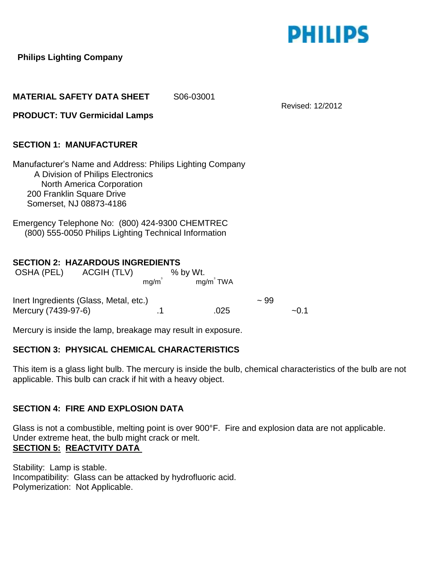

Revised: 12/2012

 **Philips Lighting Company** 

**MATERIAL SAFETY DATA SHEET** S06-03001

**PRODUCT: TUV Germicidal Lamps** 

## **SECTION 1: MANUFACTURER**

Manufacturer's Name and Address: Philips Lighting Company A Division of Philips Electronics North America Corporation 200 Franklin Square Drive Somerset, NJ 08873-4186

Emergency Telephone No: (800) 424-9300 CHEMTREC (800) 555-0050 Philips Lighting Technical Information

### **SECTION 2: HAZARDOUS INGREDIENTS**

| OSHA (PEL)                             | ACGIH (TLV) |      | $%$ by Wt.   |         |        |
|----------------------------------------|-------------|------|--------------|---------|--------|
|                                        |             | mq/m | $mg/m^3$ TWA |         |        |
| Inert Ingredients (Glass, Metal, etc.) |             |      |              | $~1$ 99 |        |
| Mercury (7439-97-6)                    |             |      | 025          |         | $-0.1$ |

Mercury is inside the lamp, breakage may result in exposure.

### **SECTION 3: PHYSICAL CHEMICAL CHARACTERISTICS**

This item is a glass light bulb. The mercury is inside the bulb, chemical characteristics of the bulb are not applicable. This bulb can crack if hit with a heavy object.

### **SECTION 4: FIRE AND EXPLOSION DATA**

Glass is not a combustible, melting point is over 900°F. Fire and explosion data are not applicable. Under extreme heat, the bulb might crack or melt. **SECTION 5: REACTVITY DATA** 

Stability: Lamp is stable. Incompatibility: Glass can be attacked by hydrofluoric acid. Polymerization: Not Applicable.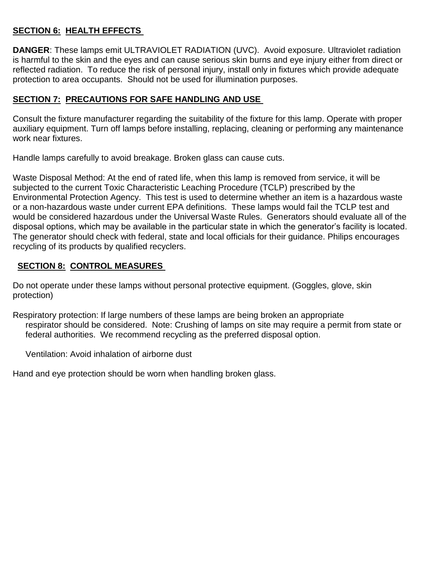# **SECTION 6: HEALTH EFFECTS**

**DANGER**: These lamps emit ULTRAVIOLET RADIATION (UVC). Avoid exposure. Ultraviolet radiation is harmful to the skin and the eyes and can cause serious skin burns and eye injury either from direct or reflected radiation. To reduce the risk of personal injury, install only in fixtures which provide adequate protection to area occupants. Should not be used for illumination purposes.

# **SECTION 7: PRECAUTIONS FOR SAFE HANDLING AND USE**

Consult the fixture manufacturer regarding the suitability of the fixture for this lamp. Operate with proper auxiliary equipment. Turn off lamps before installing, replacing, cleaning or performing any maintenance work near fixtures.

Handle lamps carefully to avoid breakage. Broken glass can cause cuts.

Waste Disposal Method: At the end of rated life, when this lamp is removed from service, it will be subjected to the current Toxic Characteristic Leaching Procedure (TCLP) prescribed by the Environmental Protection Agency. This test is used to determine whether an item is a hazardous waste or a non-hazardous waste under current EPA definitions. These lamps would fail the TCLP test and would be considered hazardous under the Universal Waste Rules. Generators should evaluate all of the disposal options, which may be available in the particular state in which the generator's facility is located. The generator should check with federal, state and local officials for their guidance. Philips encourages recycling of its products by qualified recyclers.

# **SECTION 8: CONTROL MEASURES**

Do not operate under these lamps without personal protective equipment. (Goggles, glove, skin protection)

Respiratory protection: If large numbers of these lamps are being broken an appropriate respirator should be considered. Note: Crushing of lamps on site may require a permit from state or federal authorities. We recommend recycling as the preferred disposal option.

Ventilation: Avoid inhalation of airborne dust

Hand and eye protection should be worn when handling broken glass.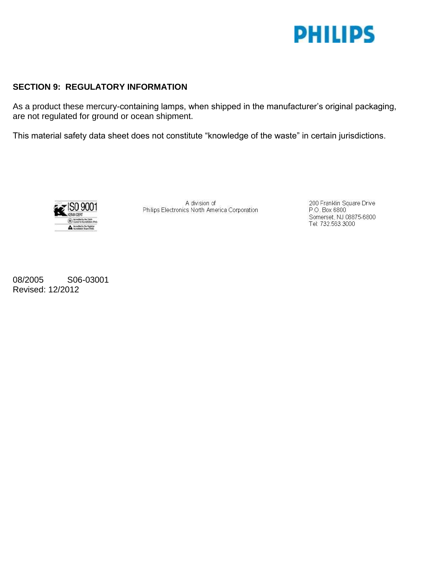

### **SECTION 9: REGULATORY INFORMATION**

As a product these mercury-containing lamps, when shipped in the manufacturer's original packaging, are not regulated for ground or ocean shipment.

This material safety data sheet does not constitute "knowledge of the waste" in certain jurisdictions.



A division of Philips Electronics North America Corporation

200 Franklin Square Drive P.O. Box 6800 Somerset, NJ 08875-6800 Tel: 732.563.3000

08/2005 S06-03001 Revised: 12/2012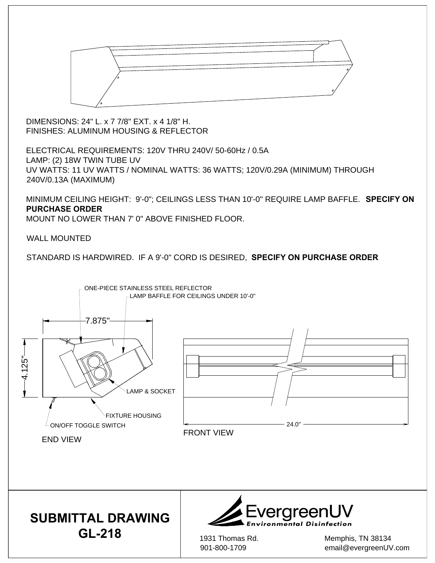

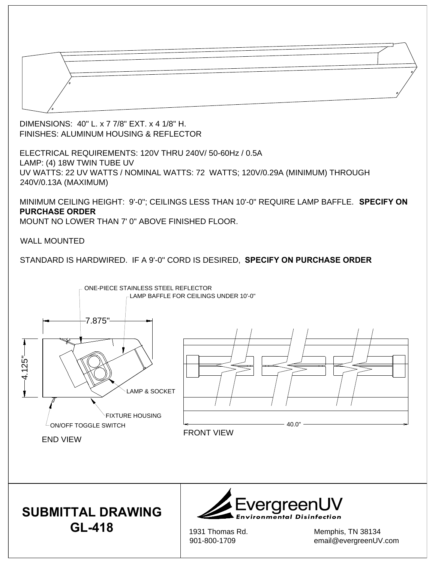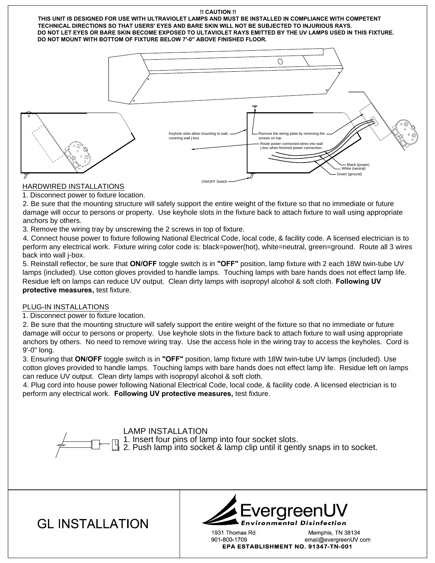



LAMP INSTALLATION<br>1. Insert four pins of lamp into four socket slots.<br>2. Push lamp into socket & lamp clip until it gently snaps in to socket.

**GL INSTALLATION** 



1931 Thomas Rd. Memphis, TN 38134 901-800-1709 email@evergreenUV.com EPA ESTABLISHMENT NO. 91347-TN-001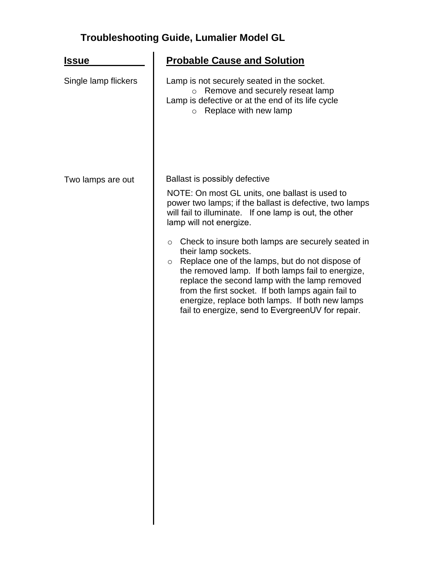# **Troubleshooting Guide, Lumalier Model GL**

| <u> Issue</u>        | <b>Probable Cause and Solution</b>                                                                                                                                                                                                                                                                                                                                                                                    |
|----------------------|-----------------------------------------------------------------------------------------------------------------------------------------------------------------------------------------------------------------------------------------------------------------------------------------------------------------------------------------------------------------------------------------------------------------------|
| Single lamp flickers | Lamp is not securely seated in the socket.<br>Remove and securely reseat lamp<br>$\circ$<br>Lamp is defective or at the end of its life cycle<br>Replace with new lamp<br>$\circ$                                                                                                                                                                                                                                     |
| Two lamps are out    | Ballast is possibly defective                                                                                                                                                                                                                                                                                                                                                                                         |
|                      | NOTE: On most GL units, one ballast is used to<br>power two lamps; if the ballast is defective, two lamps<br>will fail to illuminate. If one lamp is out, the other<br>lamp will not energize.                                                                                                                                                                                                                        |
|                      | Check to insure both lamps are securely seated in<br>$\circ$<br>their lamp sockets.<br>Replace one of the lamps, but do not dispose of<br>$\circ$<br>the removed lamp. If both lamps fail to energize,<br>replace the second lamp with the lamp removed<br>from the first socket. If both lamps again fail to<br>energize, replace both lamps. If both new lamps<br>fail to energize, send to EvergreenUV for repair. |
|                      |                                                                                                                                                                                                                                                                                                                                                                                                                       |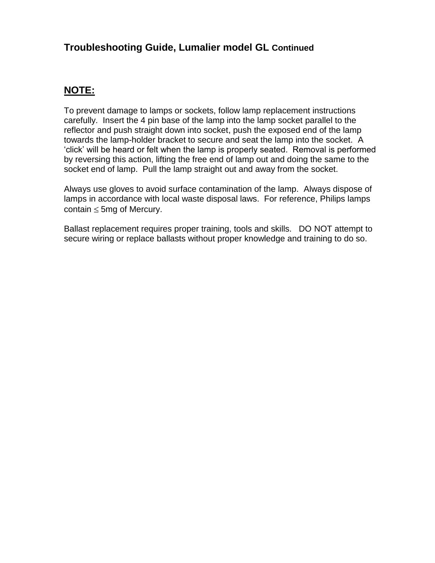# **Troubleshooting Guide, Lumalier model GL Continued**

# **NOTE:**

To prevent damage to lamps or sockets, follow lamp replacement instructions carefully. Insert the 4 pin base of the lamp into the lamp socket parallel to the reflector and push straight down into socket, push the exposed end of the lamp towards the lamp-holder bracket to secure and seat the lamp into the socket. A 'click' will be heard or felt when the lamp is properly seated. Removal is performed by reversing this action, lifting the free end of lamp out and doing the same to the socket end of lamp. Pull the lamp straight out and away from the socket.

Always use gloves to avoid surface contamination of the lamp. Always dispose of lamps in accordance with local waste disposal laws. For reference, Philips lamps contain  $\leq$  5mg of Mercury.

Ballast replacement requires proper training, tools and skills. DO NOT attempt to secure wiring or replace ballasts without proper knowledge and training to do so.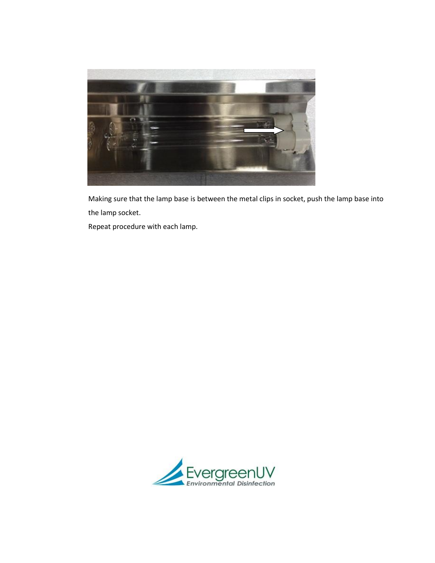

 Making sure that the lamp base is between the metal clips in socket, push the lamp base into the lamp socket.

Repeat procedure with each lamp.

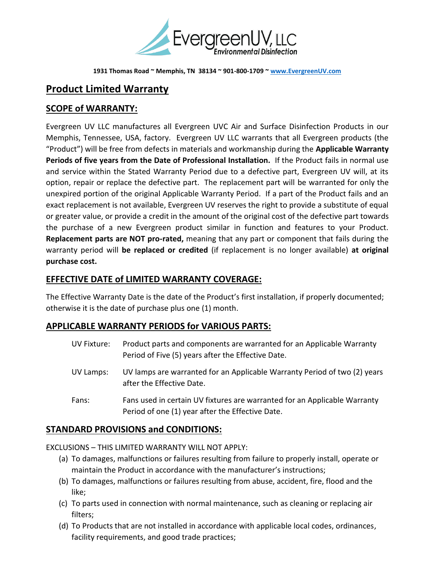

**1931 Thomas Road ~ Memphis, TN 38134 ~ 901-800-1709 ~ [www.EvergreenUV.com](http://www.evergreenuv.com/)**

# **Product Limited Warranty**

# **SCOPE of WARRANTY:**

Evergreen UV LLC manufactures all Evergreen UVC Air and Surface Disinfection Products in our Memphis, Tennessee, USA, factory. Evergreen UV LLC warrants that all Evergreen products (the "Product") will be free from defects in materials and workmanship during the **Applicable Warranty Periods of five years from the Date of Professional Installation.** If the Product fails in normal use and service within the Stated Warranty Period due to a defective part, Evergreen UV will, at its option, repair or replace the defective part. The replacement part will be warranted for only the unexpired portion of the original Applicable Warranty Period. If a part of the Product fails and an exact replacement is not available, Evergreen UV reserves the right to provide a substitute of equal or greater value, or provide a credit in the amount of the original cost of the defective part towards the purchase of a new Evergreen product similar in function and features to your Product. **Replacement parts are NOT pro-rated,** meaning that any part or component that fails during the warranty period will **be replaced or credited** (if replacement is no longer available) **at original purchase cost.**

### **EFFECTIVE DATE of LIMITED WARRANTY COVERAGE:**

The Effective Warranty Date is the date of the Product's first installation, if properly documented; otherwise it is the date of purchase plus one (1) month.

### **APPLICABLE WARRANTY PERIODS for VARIOUS PARTS:**

UV Fixture: Product parts and components are warranted for an Applicable Warranty Period of Five (5) years after the Effective Date. UV Lamps: UV lamps are warranted for an Applicable Warranty Period of two (2) years after the Effective Date. Fans: Fans used in certain UV fixtures are warranted for an Applicable Warranty Period of one (1) year after the Effective Date.

## **STANDARD PROVISIONS and CONDITIONS:**

EXCLUSIONS – THIS LIMITED WARRANTY WILL NOT APPLY:

- (a) To damages, malfunctions or failures resulting from failure to properly install, operate or maintain the Product in accordance with the manufacturer's instructions;
- (b) To damages, malfunctions or failures resulting from abuse, accident, fire, flood and the like;
- (c) To parts used in connection with normal maintenance, such as cleaning or replacing air filters;
- (d) To Products that are not installed in accordance with applicable local codes, ordinances, facility requirements, and good trade practices;